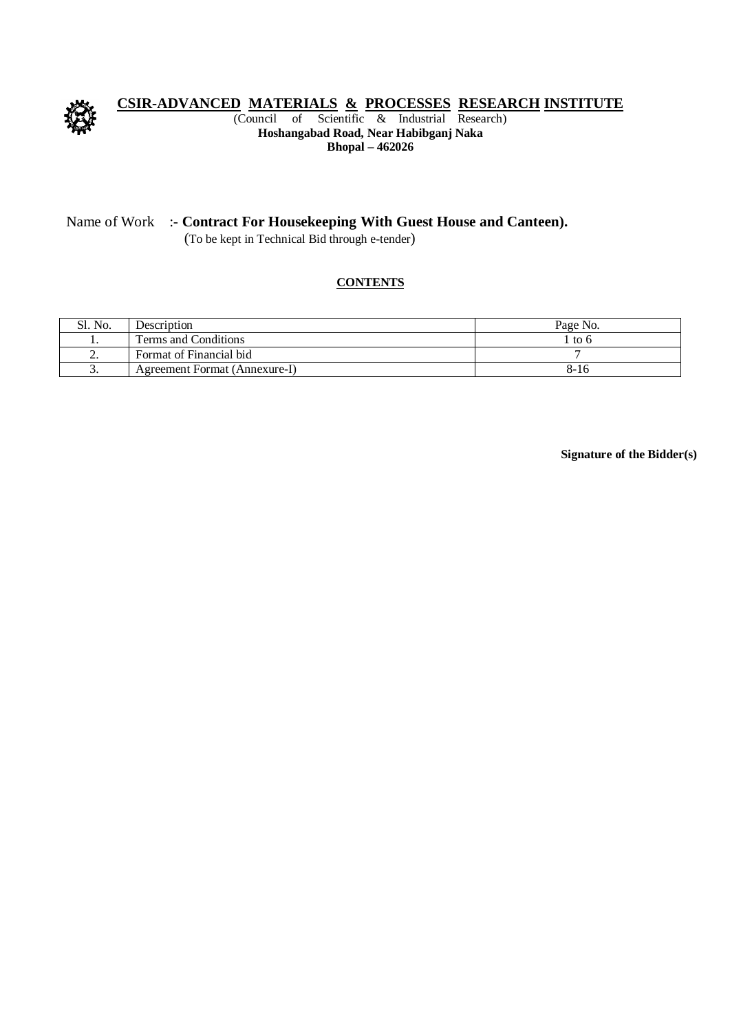

# **CSIR-ADVANCED MATERIALS & PROCESSES RESEARCH INSTITUTE**<br>(Council of Scientific & Industrial Research)

of Scientific  $\&$  Industrial Research) **Hoshangabad Road, Near Habibganj Naka Bhopal – 462026** 

#### Name of Work :- **Contract For Housekeeping With Guest House and Canteen).**

(To be kept in Technical Bid through e-tender)

#### **CONTENTS**

| Sl. No. | Description                   | Page No. |
|---------|-------------------------------|----------|
|         | Terms and Conditions          | l to 6   |
| ∼.      | Format of Financial bid       |          |
| ້       | Agreement Format (Annexure-I) | 8-16     |

**Signature of the Bidder(s)**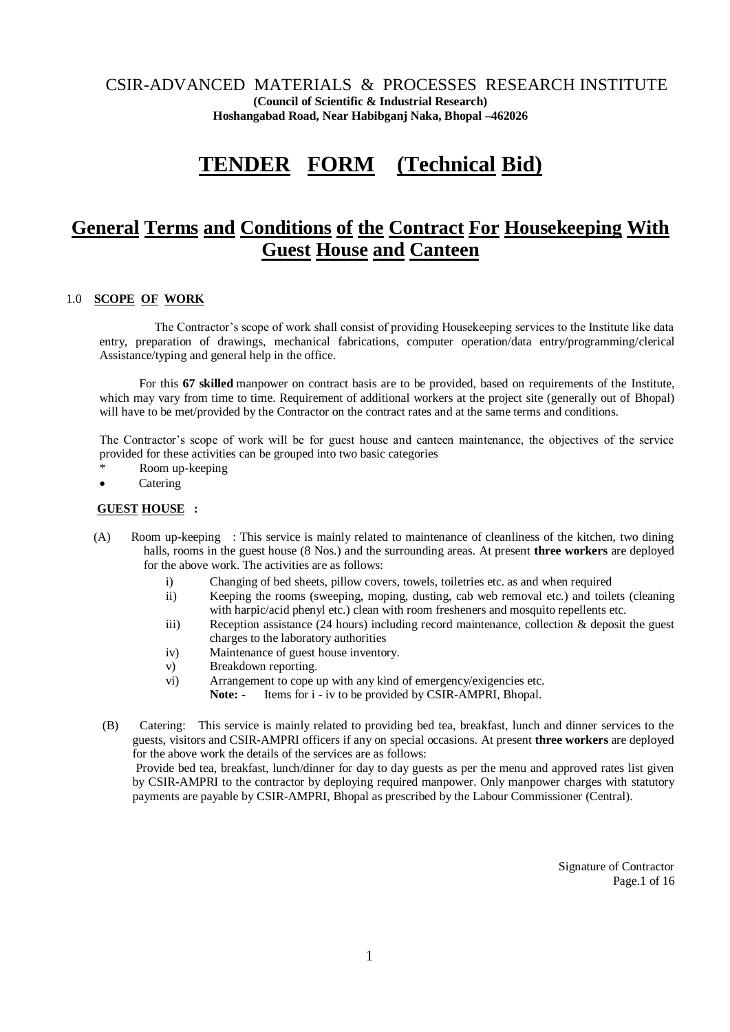CSIR-ADVANCED MATERIALS & PROCESSES RESEARCH INSTITUTE **(Council of Scientific & Industrial Research) Hoshangabad Road, Near Habibganj Naka, Bhopal –462026**

## **TENDER FORM (Technical Bid)**

### **General Terms and Conditions of the Contract For Housekeeping With Guest House and Canteen**

#### 1.0 **SCOPE OF WORK**

The Contractor's scope of work shall consist of providing Housekeeping services to the Institute like data entry, preparation of drawings, mechanical fabrications, computer operation/data entry/programming/clerical Assistance/typing and general help in the office.

 For this **67 skilled** manpower on contract basis are to be provided, based on requirements of the Institute, which may vary from time to time. Requirement of additional workers at the project site (generally out of Bhopal) will have to be met/provided by the Contractor on the contract rates and at the same terms and conditions.

The Contractor's scope of work will be for guest house and canteen maintenance, the objectives of the service provided for these activities can be grouped into two basic categories

- Room up-keeping
- Catering

#### **GUEST HOUSE :**

- (A) Room up-keeping : This service is mainly related to maintenance of cleanliness of the kitchen, two dining halls, rooms in the guest house (8 Nos.) and the surrounding areas. At present **three workers** are deployed for the above work. The activities are as follows:
	- i) Changing of bed sheets, pillow covers, towels, toiletries etc. as and when required
	- ii) Keeping the rooms (sweeping, moping, dusting, cab web removal etc.) and toilets (cleaning with harpic/acid phenyl etc.) clean with room fresheners and mosquito repellents etc.
	- iii) Reception assistance (24 hours) including record maintenance, collection & deposit the guest charges to the laboratory authorities
	- iv) Maintenance of guest house inventory.
	- v) Breakdown reporting.
	- vi) Arrangement to cope up with any kind of emergency/exigencies etc.
		- Note: Items for i iv to be provided by CSIR-AMPRI, Bhopal.
	- (B) Catering: This service is mainly related to providing bed tea, breakfast, lunch and dinner services to the guests, visitors and CSIR-AMPRI officers if any on special occasions. At present **three workers** are deployed for the above work the details of the services are as follows:

 Provide bed tea, breakfast, lunch/dinner for day to day guests as per the menu and approved rates list given by CSIR-AMPRI to the contractor by deploying required manpower. Only manpower charges with statutory payments are payable by CSIR-AMPRI, Bhopal as prescribed by the Labour Commissioner (Central).

> Signature of Contractor Page.1 of 16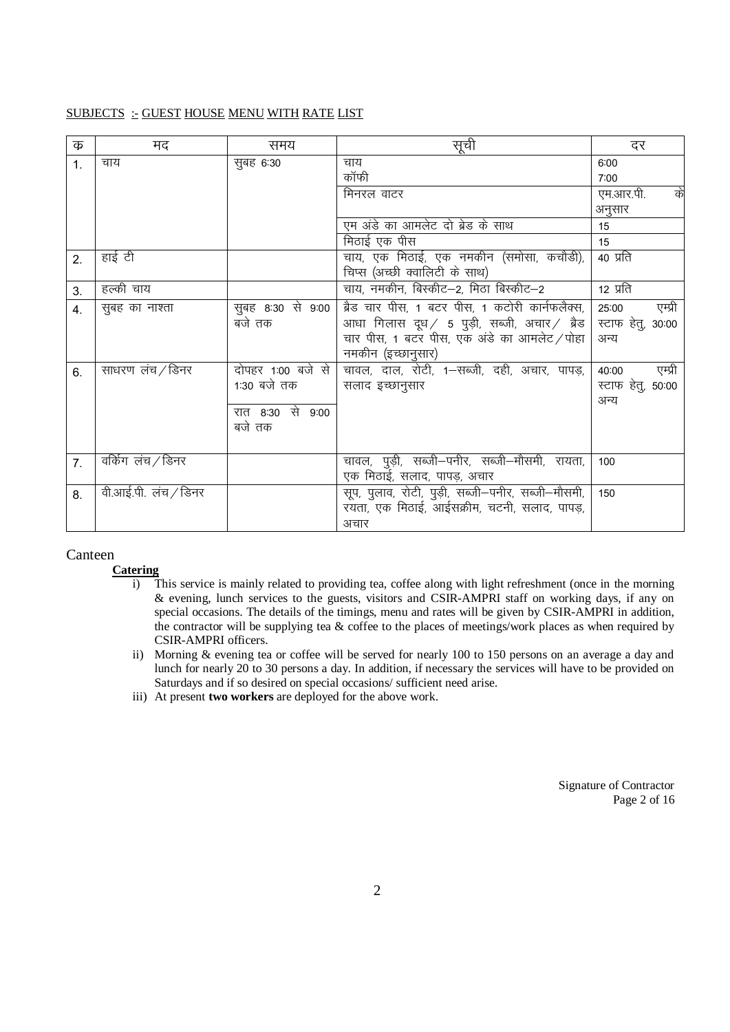#### SUBJECTS :- GUEST HOUSE MENU WITH RATE LIST

| क              | मद                  | समय               | सूची                                              | दर                |
|----------------|---------------------|-------------------|---------------------------------------------------|-------------------|
| $\mathbf{1}$ . | चाय                 | सूबह 6:30         | चाय                                               | 6:00              |
|                |                     |                   | कॉफी                                              | 7:00              |
|                |                     |                   | मिनरल वाटर                                        | एम.आर.पी.<br>के   |
|                |                     |                   |                                                   | अनुसार            |
|                |                     |                   | एम अंडे का आमलेट दो ब्रेड के साथ                  | 15                |
|                |                     |                   | मिठाई एक पीस                                      | 15                |
| 2.             | हाई टी              |                   | चाय, एक मिठाई, एक नमकीन (समोसा, कचौडी),           | 40 प्रति          |
|                |                     |                   | चिप्स (अच्छी क्वालिटी के साथ)                     |                   |
| 3.             | हल्की चाय           |                   | चाय, नमकीन, बिस्कीट-2, मिठा बिस्कीट-2             | 12 प्रति          |
| 4.             | सुबह का नाश्ता      | सुबह 8:30 से 9:00 | ब्रैड चार पीस, 1 बटर पीस, 1 कटोरी कार्नफलैक्स,    | एम्प्री<br>25:00  |
|                |                     | बजे तक            | आधा गिलास दूध / 5 पुड़ी, सब्जी, अचार / ब्रैड      | स्टाफ हेतु, 30:00 |
|                |                     |                   | चार पीस, 1 बटर पीस, एक अंडे का आमलेट / पोहा       | अन्य              |
|                |                     |                   | नमकीन (इच्छानुसार)                                |                   |
| 6.             | साधरण लंच∕डिनर      | दोपहर 1:00 बजे से | चावल, दाल, रोटी, 1–सब्जी, दही, अचार, पापड़,       | एम्प्री<br>40:00  |
|                |                     | 1:30 बजे तक       | सलाद इच्छानुसार                                   | स्टाफ हेतू, 50:00 |
|                |                     |                   |                                                   | अन्य              |
|                |                     | रात 8:30 से 9:00  |                                                   |                   |
|                |                     | बजे तक            |                                                   |                   |
|                |                     |                   |                                                   |                   |
| 7 <sub>1</sub> | वर्किंग लंच∕डिनर    |                   | चावल, पुड़ी, सब्जी–पनीर, सब्जी–मौसमी, रायता,      | 100               |
|                |                     |                   | एक मिठाई, सलाद, पापड़, अचार                       |                   |
| 8.             | वी.आई.पी. लच / डिनर |                   | सूप, पुलाव, रोटी, पुड़ी, सब्जी–पनीर, सब्जी–मौसमी, | 150               |
|                |                     |                   | रयता, एक मिठाई, आईसक्रीम, चटनी, सलाद, पापड़,      |                   |
|                |                     |                   | अचार                                              |                   |

#### Canteen

#### **Catering**

- i) This service is mainly related to providing tea, coffee along with light refreshment (once in the morning & evening, lunch services to the guests, visitors and CSIR-AMPRI staff on working days, if any on special occasions. The details of the timings, menu and rates will be given by CSIR-AMPRI in addition, the contractor will be supplying tea  $\&$  coffee to the places of meetings/work places as when required by CSIR-AMPRI officers.
- ii) Morning & evening tea or coffee will be served for nearly 100 to 150 persons on an average a day and lunch for nearly 20 to 30 persons a day. In addition, if necessary the services will have to be provided on Saturdays and if so desired on special occasions/ sufficient need arise.
- iii) At present **two workers** are deployed for the above work.

Signature of Contractor Page 2 of 16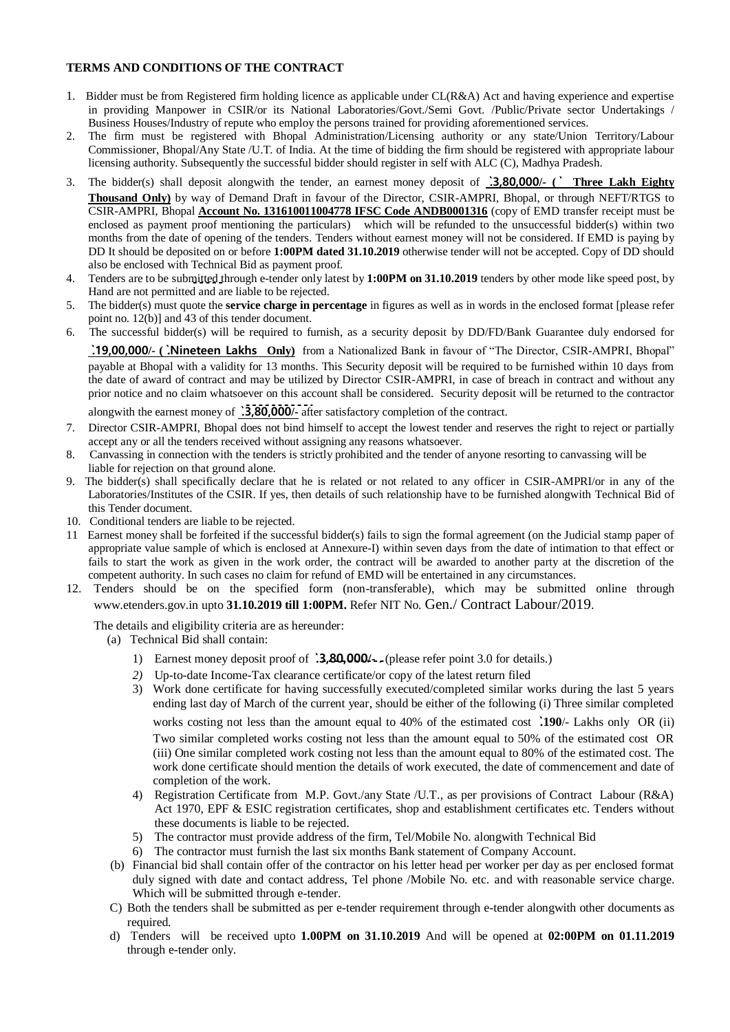#### **TERMS AND CONDITIONS OF THE CONTRACT**

- 1. Bidder must be from Registered firm holding licence as applicable under CL(R&A) Act and having experience and expertise in providing Manpower in CSIR/or its National Laboratories/Govt./Semi Govt. /Public/Private sector Undertakings / Business Houses/Industry of repute who employ the persons trained for providing aforementioned services.
- 2. The firm must be registered with Bhopal Administration/Licensing authority or any state/Union Territory/Labour Commissioner, Bhopal/Any State /U.T. of India. At the time of bidding the firm should be registered with appropriate labour licensing authority. Subsequently the successful bidder should register in self with ALC (C), Madhya Pradesh.
- 3. The bidder(s) shall deposit alongwith the tender, an earnest money deposit of **`.3,80,000/- (` Three Lakh Eighty Thousand Only)** by way of Demand Draft in favour of the Director, CSIR-AMPRI, Bhopal, or through NEFT/RTGS to CSIR-AMPRI, Bhopal **Account No. 131610011004778 IFSC Code ANDB0001316** (copy of EMD transfer receipt must be enclosed as payment proof mentioning the particulars) which will be refunded to the unsuccessful bidder(s) within two months from the date of opening of the tenders. Tenders without earnest money will not be considered. If EMD is paying by DD It should be deposited on or before **1:00PM dated 31.10.2019** otherwise tender will not be accepted. Copy of DD should also be enclosed with Technical Bid as payment proof.
- 4. Tenders are to be submitted through e-tender only latest by **1:00PM on 31.10.2019** tenders by other mode like speed post, by Hand are not permitted and are liable to be rejected.
- 5. The bidder(s) must quote the **service charge in percentage** in figures as well as in words in the enclosed format [please refer point no. 12(b)] and 43 of this tender document.
- 6. The successful bidder(s) will be required to furnish, as a security deposit by DD/FD/Bank Guarantee duly endorsed for

**`.19,00,000/- (`.Nineteen Lakhs Only)** from a Nationalized Bank in favour of "The Director, CSIR-AMPRI, Bhopal" payable at Bhopal with a validity for 13 months. This Security deposit will be required to be furnished within 10 days from the date of award of contract and may be utilized by Director CSIR-AMPRI, in case of breach in contract and without any prior notice and no claim whatsoever on this account shall be considered. Security deposit will be returned to the contractor

alongwith the earnest money of **`.3,80,000/-** after satisfactory completion of the contract.

- 7. Director CSIR-AMPRI, Bhopal does not bind himself to accept the lowest tender and reserves the right to reject or partially accept any or all the tenders received without assigning any reasons whatsoever.
- 8. Canvassing in connection with the tenders is strictly prohibited and the tender of anyone resorting to canvassing will be liable for rejection on that ground alone.
- 9. The bidder(s) shall specifically declare that he is related or not related to any officer in CSIR-AMPRI/or in any of the Laboratories/Institutes of the CSIR. If yes, then details of such relationship have to be furnished alongwith Technical Bid of this Tender document.
- 10. Conditional tenders are liable to be rejected.
- 11 Earnest money shall be forfeited if the successful bidder(s) fails to sign the formal agreement (on the Judicial stamp paper of appropriate value sample of which is enclosed at Annexure-I) within seven days from the date of intimation to that effect or fails to start the work as given in the work order, the contract will be awarded to another party at the discretion of the competent authority. In such cases no claim for refund of EMD will be entertained in any circumstances.
- 12. Tenders should be on the specified form (non-transferable), which may be submitted online through www.etenders.gov.in upto **31.10.2019 till 1:00PM.** Refer NIT No. Gen./ Contract Labour/2019.

The details and eligibility criteria are as hereunder:

(a) Technical Bid shall contain:

- 1) Earnest money deposit proof of **`.3,80,000/-** . (please refer point 3.0 for details.)
- *2)* Up-to-date Income-Tax clearance certificate/or copy of the latest return filed
- 3) Work done certificate for having successfully executed/completed similar works during the last 5 years ending last day of March of the current year, should be either of the following (i) Three similar completed works costing not less than the amount equal to 40% of the estimated cost **`.190**/- Lakhs only OR (ii) Two similar completed works costing not less than the amount equal to 50% of the estimated cost OR (iii) One similar completed work costing not less than the amount equal to 80% of the estimated cost. The work done certificate should mention the details of work executed, the date of commencement and date of completion of the work.
- 4) Registration Certificate from M.P. Govt./any State /U.T., as per provisions of Contract Labour (R&A) Act 1970, EPF & ESIC registration certificates, shop and establishment certificates etc. Tenders without these documents is liable to be rejected.
- 5) The contractor must provide address of the firm, Tel/Mobile No. alongwith Technical Bid
- 6) The contractor must furnish the last six months Bank statement of Company Account.
- (b) Financial bid shall contain offer of the contractor on his letter head per worker per day as per enclosed format duly signed with date and contact address, Tel phone /Mobile No. etc. and with reasonable service charge. Which will be submitted through e-tender.
- C) Both the tenders shall be submitted as per e-tender requirement through e-tender alongwith other documents as required.
- d) Tenders will be received upto **1.00PM on 31.10.2019** And will be opened at **02:00PM on 01.11.2019** through e-tender only.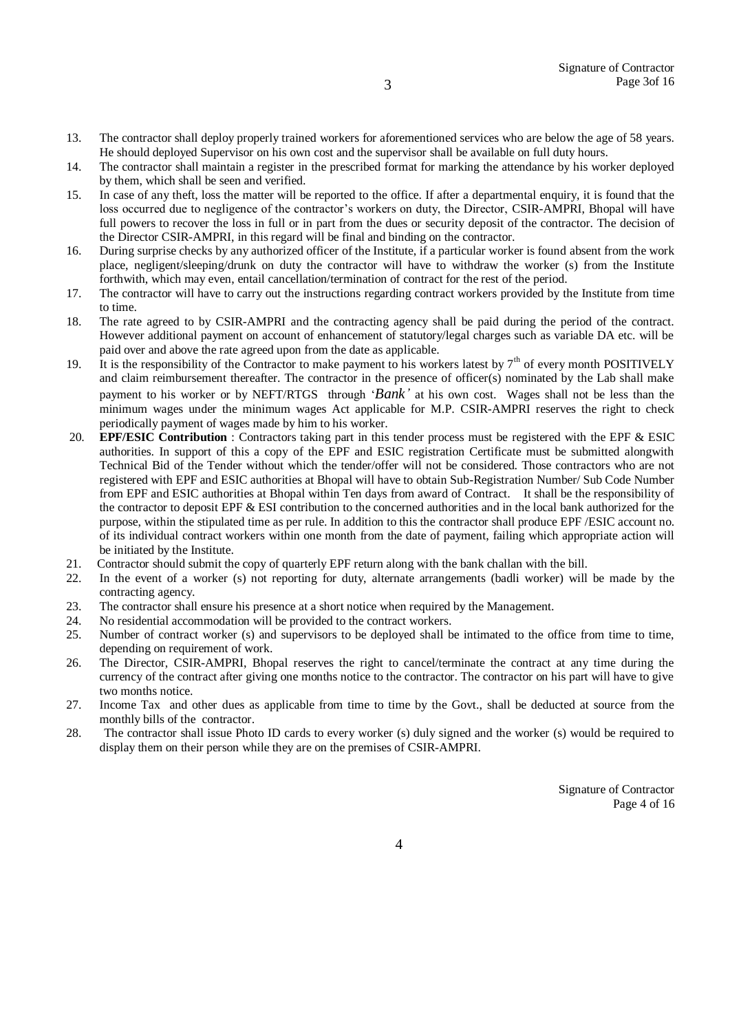- 13. The contractor shall deploy properly trained workers for aforementioned services who are below the age of 58 years. He should deployed Supervisor on his own cost and the supervisor shall be available on full duty hours.
- 14. The contractor shall maintain a register in the prescribed format for marking the attendance by his worker deployed by them, which shall be seen and verified.
- 15. In case of any theft, loss the matter will be reported to the office. If after a departmental enquiry, it is found that the loss occurred due to negligence of the contractor's workers on duty, the Director, CSIR-AMPRI, Bhopal will have full powers to recover the loss in full or in part from the dues or security deposit of the contractor. The decision of the Director CSIR-AMPRI, in this regard will be final and binding on the contractor.
- 16. During surprise checks by any authorized officer of the Institute, if a particular worker is found absent from the work place, negligent/sleeping/drunk on duty the contractor will have to withdraw the worker (s) from the Institute forthwith, which may even, entail cancellation/termination of contract for the rest of the period.
- 17. The contractor will have to carry out the instructions regarding contract workers provided by the Institute from time to time.
- 18. The rate agreed to by CSIR-AMPRI and the contracting agency shall be paid during the period of the contract. However additional payment on account of enhancement of statutory/legal charges such as variable DA etc. will be paid over and above the rate agreed upon from the date as applicable.
- 19. It is the responsibility of the Contractor to make payment to his workers latest by  $7<sup>th</sup>$  of every month POSITIVELY and claim reimbursement thereafter. The contractor in the presence of officer(s) nominated by the Lab shall make payment to his worker or by NEFT/RTGS through '*Bank'* at his own cost. Wages shall not be less than the minimum wages under the minimum wages Act applicable for M.P. CSIR-AMPRI reserves the right to check periodically payment of wages made by him to his worker.
- 20. **EPF/ESIC Contribution** : Contractors taking part in this tender process must be registered with the EPF & ESIC authorities. In support of this a copy of the EPF and ESIC registration Certificate must be submitted alongwith Technical Bid of the Tender without which the tender/offer will not be considered. Those contractors who are not registered with EPF and ESIC authorities at Bhopal will have to obtain Sub-Registration Number/ Sub Code Number from EPF and ESIC authorities at Bhopal within Ten days from award of Contract. It shall be the responsibility of the contractor to deposit EPF & ESI contribution to the concerned authorities and in the local bank authorized for the purpose, within the stipulated time as per rule. In addition to this the contractor shall produce EPF /ESIC account no. of its individual contract workers within one month from the date of payment, failing which appropriate action will be initiated by the Institute.
- 21. Contractor should submit the copy of quarterly EPF return along with the bank challan with the bill.
- 22. In the event of a worker (s) not reporting for duty, alternate arrangements (badli worker) will be made by the contracting agency.
- 23. The contractor shall ensure his presence at a short notice when required by the Management.
- 24. No residential accommodation will be provided to the contract workers.
- 25. Number of contract worker (s) and supervisors to be deployed shall be intimated to the office from time to time, depending on requirement of work.
- 26. The Director, CSIR-AMPRI, Bhopal reserves the right to cancel/terminate the contract at any time during the currency of the contract after giving one months notice to the contractor. The contractor on his part will have to give two months notice.
- 27. Income Tax and other dues as applicable from time to time by the Govt., shall be deducted at source from the monthly bills of the contractor.
- 28. The contractor shall issue Photo ID cards to every worker (s) duly signed and the worker (s) would be required to display them on their person while they are on the premises of CSIR-AMPRI.

Signature of Contractor Page 4 of 16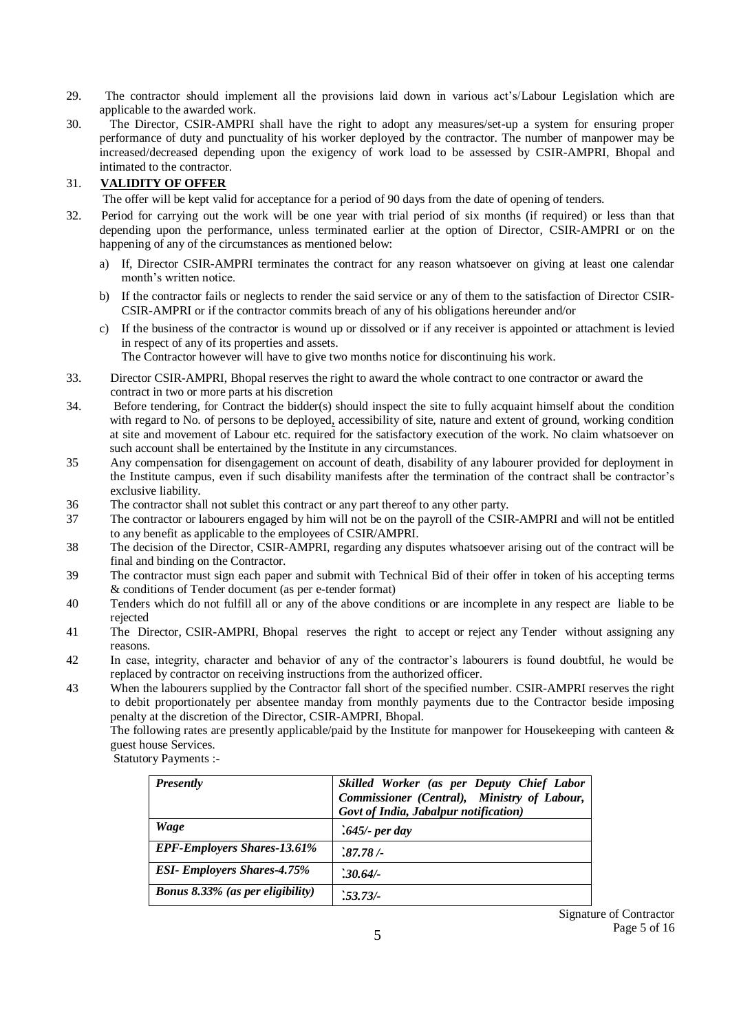- 29. The contractor should implement all the provisions laid down in various act's/Labour Legislation which are applicable to the awarded work.
- 30. The Director, CSIR-AMPRI shall have the right to adopt any measures/set-up a system for ensuring proper performance of duty and punctuality of his worker deployed by the contractor. The number of manpower may be increased/decreased depending upon the exigency of work load to be assessed by CSIR-AMPRI, Bhopal and intimated to the contractor.

#### 31. **VALIDITY OF OFFER**

The offer will be kept valid for acceptance for a period of 90 days from the date of opening of tenders.

- 32. Period for carrying out the work will be one year with trial period of six months (if required) or less than that depending upon the performance, unless terminated earlier at the option of Director, CSIR-AMPRI or on the happening of any of the circumstances as mentioned below:
	- a) If, Director CSIR-AMPRI terminates the contract for any reason whatsoever on giving at least one calendar month's written notice.
	- b) If the contractor fails or neglects to render the said service or any of them to the satisfaction of Director CSIR-CSIR-AMPRI or if the contractor commits breach of any of his obligations hereunder and/or
	- c) If the business of the contractor is wound up or dissolved or if any receiver is appointed or attachment is levied in respect of any of its properties and assets.

The Contractor however will have to give two months notice for discontinuing his work.

- 33. Director CSIR-AMPRI, Bhopal reserves the right to award the whole contract to one contractor or award the contract in two or more parts at his discretion
- 34. Before tendering, for Contract the bidder(s) should inspect the site to fully acquaint himself about the condition with regard to No. of persons to be deployed, accessibility of site, nature and extent of ground, working condition at site and movement of Labour etc. required for the satisfactory execution of the work. No claim whatsoever on such account shall be entertained by the Institute in any circumstances.
- 35 Any compensation for disengagement on account of death, disability of any labourer provided for deployment in the Institute campus, even if such disability manifests after the termination of the contract shall be contractor's exclusive liability.
- 36 The contractor shall not sublet this contract or any part thereof to any other party.
- 37 The contractor or labourers engaged by him will not be on the payroll of the CSIR-AMPRI and will not be entitled to any benefit as applicable to the employees of CSIR/AMPRI.
- 38 The decision of the Director, CSIR-AMPRI, regarding any disputes whatsoever arising out of the contract will be final and binding on the Contractor.
- 39 The contractor must sign each paper and submit with Technical Bid of their offer in token of his accepting terms & conditions of Tender document (as per e-tender format)
- 40 Tenders which do not fulfill all or any of the above conditions or are incomplete in any respect are liable to be rejected
- 41 The Director, CSIR-AMPRI, Bhopal reserves the right to accept or reject any Tender without assigning any reasons.
- 42 In case, integrity, character and behavior of any of the contractor's labourers is found doubtful, he would be replaced by contractor on receiving instructions from the authorized officer.
- 43 When the labourers supplied by the Contractor fall short of the specified number. CSIR-AMPRI reserves the right to debit proportionately per absentee manday from monthly payments due to the Contractor beside imposing penalty at the discretion of the Director, CSIR-AMPRI, Bhopal.

The following rates are presently applicable/paid by the Institute for manpower for Housekeeping with canteen  $\&$ guest house Services.

Statutory Payments :-

| <b>Presently</b>                        | Skilled Worker (as per Deputy Chief Labor<br>Commissioner (Central), Ministry of Labour,<br>Govt of India, Jabalpur notification) |
|-----------------------------------------|-----------------------------------------------------------------------------------------------------------------------------------|
| Wage                                    | $.645$ /- per day                                                                                                                 |
| <b>EPF-Employers Shares-13.61%</b>      | 287.78/                                                                                                                           |
| <b>ESI- Employers Shares-4.75%</b>      | $.30.64/-$                                                                                                                        |
| <b>Bonus 8.33% (as per eligibility)</b> | .53.73/                                                                                                                           |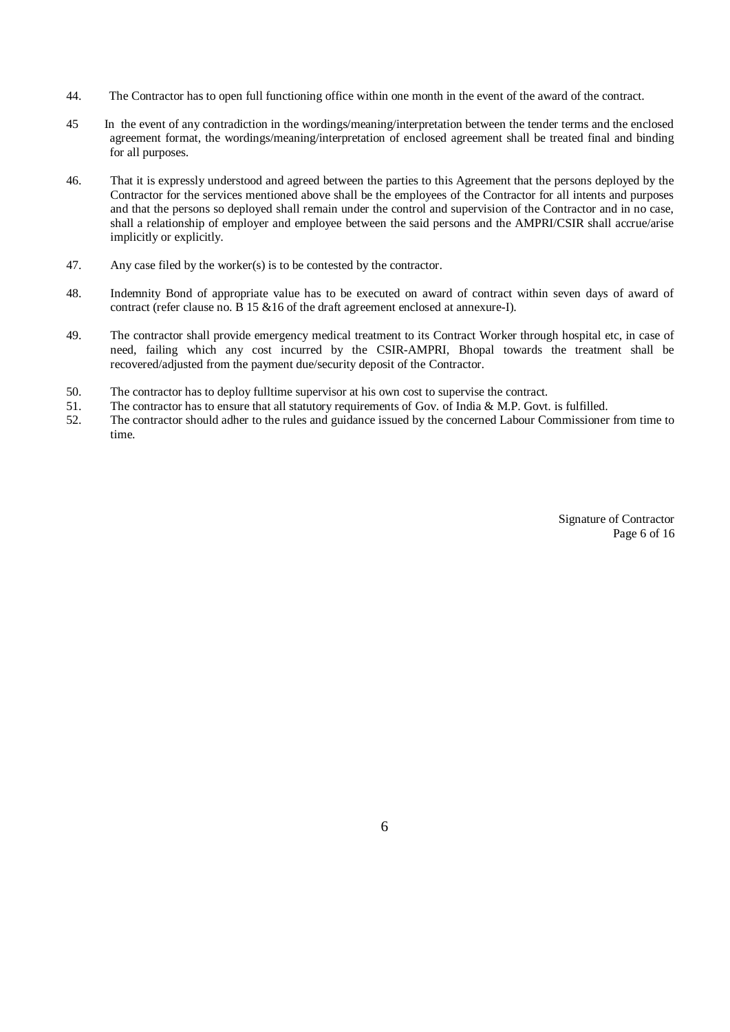- 44. The Contractor has to open full functioning office within one month in the event of the award of the contract.
- 45 In the event of any contradiction in the wordings/meaning/interpretation between the tender terms and the enclosed agreement format, the wordings/meaning/interpretation of enclosed agreement shall be treated final and binding for all purposes.
- 46. That it is expressly understood and agreed between the parties to this Agreement that the persons deployed by the Contractor for the services mentioned above shall be the employees of the Contractor for all intents and purposes and that the persons so deployed shall remain under the control and supervision of the Contractor and in no case, shall a relationship of employer and employee between the said persons and the AMPRI/CSIR shall accrue/arise implicitly or explicitly.
- 47. Any case filed by the worker(s) is to be contested by the contractor.
- 48. Indemnity Bond of appropriate value has to be executed on award of contract within seven days of award of contract (refer clause no. B 15 &16 of the draft agreement enclosed at annexure-I).
- 49. The contractor shall provide emergency medical treatment to its Contract Worker through hospital etc, in case of need, failing which any cost incurred by the CSIR-AMPRI, Bhopal towards the treatment shall be recovered/adjusted from the payment due/security deposit of the Contractor.
- 50. The contractor has to deploy fulltime supervisor at his own cost to supervise the contract.
- 51. The contractor has to ensure that all statutory requirements of Gov. of India & M.P. Govt. is fulfilled.
- 52. The contractor should adher to the rules and guidance issued by the concerned Labour Commissioner from time to time.

Signature of Contractor Page 6 of 16

6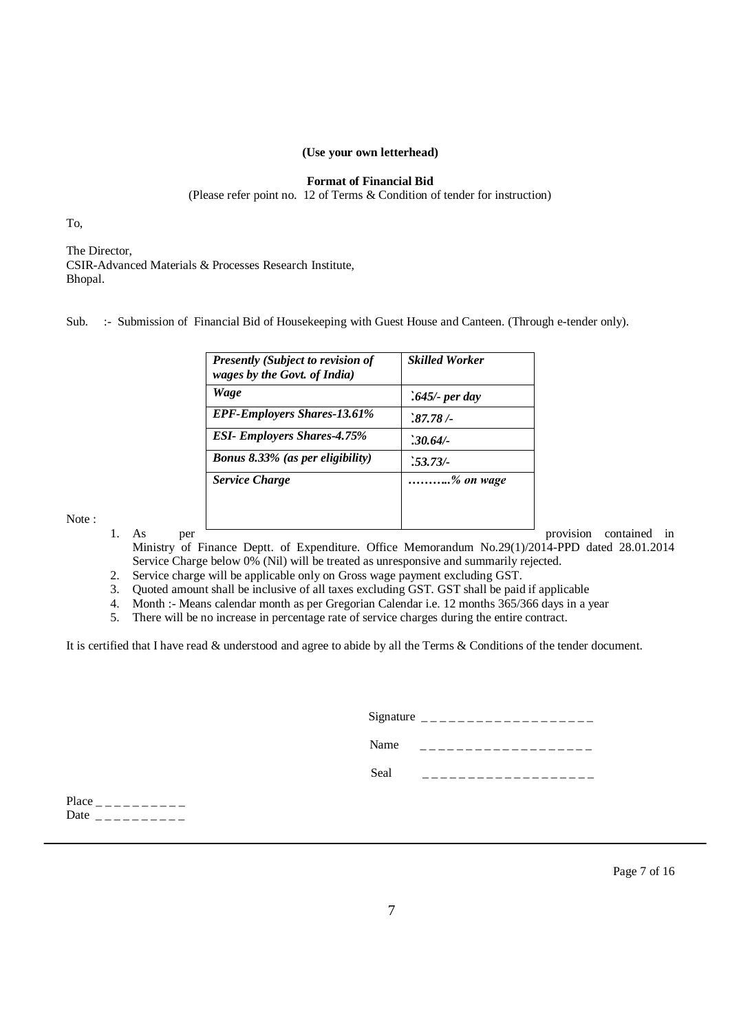#### **(Use your own letterhead)**

#### **Format of Financial Bid**

(Please refer point no. 12 of Terms & Condition of tender for instruction)

To,

The Director, CSIR-Advanced Materials & Processes Research Institute, Bhopal.

Sub. :- Submission of Financial Bid of Housekeeping with Guest House and Canteen. (Through e-tender only).

| <b>Presently (Subject to revision of</b><br>wages by the Govt. of India) | <b>Skilled Worker</b> |
|--------------------------------------------------------------------------|-----------------------|
| Wage                                                                     | $.645$ - per day      |
| <b>EPF-Employers Shares-13.61%</b>                                       | .87.78/               |
| <b>ESI- Employers Shares-4.75%</b>                                       | $.30.64/-$            |
| <b>Bonus 8.33% (as per eligibility)</b>                                  | $.53.73/-$            |
| <b>Service Charge</b>                                                    | % on wage             |
|                                                                          |                       |
|                                                                          |                       |

Note :

1. As per **provision** contained in

Ministry of Finance Deptt. of Expenditure. Office Memorandum No.29(1)/2014-PPD dated 28.01.2014 Service Charge below 0% (Nil) will be treated as unresponsive and summarily rejected.

2. Service charge will be applicable only on Gross wage payment excluding GST.

3. Quoted amount shall be inclusive of all taxes excluding GST. GST shall be paid if applicable

4. Month :- Means calendar month as per Gregorian Calendar i.e. 12 months 365/366 days in a year

5. There will be no increase in percentage rate of service charges during the entire contract.

It is certified that I have read & understood and agree to abide by all the Terms & Conditions of the tender document.

|      | Signature $\frac{1}{2}$ = $\frac{1}{2}$ = $\frac{1}{2}$ = $\frac{1}{2}$ = $\frac{1}{2}$ = $\frac{1}{2}$ = $\frac{1}{2}$ = $\frac{1}{2}$ = $\frac{1}{2}$ = $\frac{1}{2}$ = $\frac{1}{2}$ = $\frac{1}{2}$ = $\frac{1}{2}$ = $\frac{1}{2}$ = $\frac{1}{2}$ = $\frac{1}{2}$ = $\frac{1}{2}$ = $\frac{1}{2$ |
|------|--------------------------------------------------------------------------------------------------------------------------------------------------------------------------------------------------------------------------------------------------------------------------------------------------------|
| Name |                                                                                                                                                                                                                                                                                                        |
| Seal |                                                                                                                                                                                                                                                                                                        |
|      |                                                                                                                                                                                                                                                                                                        |

Place  $\frac{1}{2}$   $\frac{1}{2}$   $\frac{1}{2}$   $\frac{1}{2}$   $\frac{1}{2}$   $\frac{1}{2}$   $\frac{1}{2}$   $\frac{1}{2}$   $\frac{1}{2}$   $\frac{1}{2}$   $\frac{1}{2}$   $\frac{1}{2}$   $\frac{1}{2}$   $\frac{1}{2}$   $\frac{1}{2}$   $\frac{1}{2}$   $\frac{1}{2}$   $\frac{1}{2}$   $\frac{1}{2}$   $\frac{1}{2}$   $\frac{1}{2}$   $\frac{1$ Date \_ \_ \_ \_ \_ \_ \_ \_ \_ \_

Page 7 of 16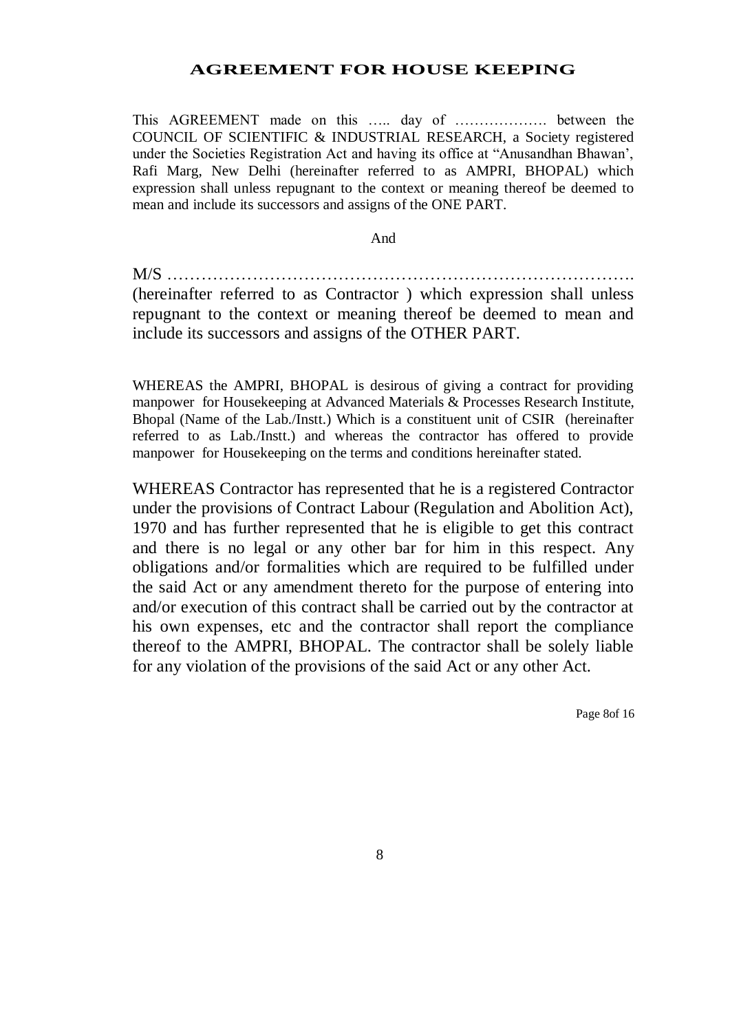#### **AGREEMENT FOR HOUSE KEEPING**

This AGREEMENT made on this ….. day of ………………. between the COUNCIL OF SCIENTIFIC & INDUSTRIAL RESEARCH, a Society registered under the Societies Registration Act and having its office at "Anusandhan Bhawan', Rafi Marg, New Delhi (hereinafter referred to as AMPRI, BHOPAL) which expression shall unless repugnant to the context or meaning thereof be deemed to mean and include its successors and assigns of the ONE PART.

And

M/S ………………………………………………………………………. (hereinafter referred to as Contractor ) which expression shall unless repugnant to the context or meaning thereof be deemed to mean and include its successors and assigns of the OTHER PART.

WHEREAS the AMPRI, BHOPAL is desirous of giving a contract for providing manpower for Housekeeping at Advanced Materials & Processes Research Institute, Bhopal (Name of the Lab./Instt.) Which is a constituent unit of CSIR (hereinafter referred to as Lab./Instt.) and whereas the contractor has offered to provide manpower for Housekeeping on the terms and conditions hereinafter stated.

WHEREAS Contractor has represented that he is a registered Contractor under the provisions of Contract Labour (Regulation and Abolition Act), 1970 and has further represented that he is eligible to get this contract and there is no legal or any other bar for him in this respect. Any obligations and/or formalities which are required to be fulfilled under the said Act or any amendment thereto for the purpose of entering into and/or execution of this contract shall be carried out by the contractor at his own expenses, etc and the contractor shall report the compliance thereof to the AMPRI, BHOPAL. The contractor shall be solely liable for any violation of the provisions of the said Act or any other Act.

Page 8of 16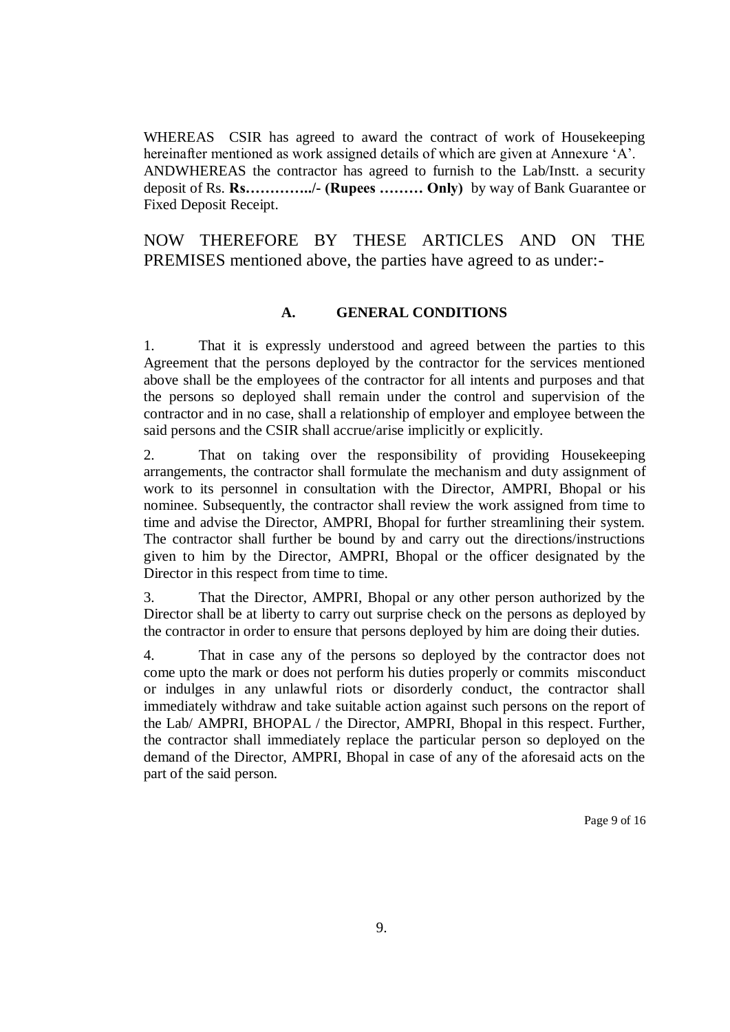WHEREAS CSIR has agreed to award the contract of work of Housekeeping hereinafter mentioned as work assigned details of which are given at Annexure 'A'. ANDWHEREAS the contractor has agreed to furnish to the Lab/Instt. a security deposit of Rs. **Rs…………../- (Rupees ……… Only)** by way of Bank Guarantee or Fixed Deposit Receipt.

NOW THEREFORE BY THESE ARTICLES AND ON THE PREMISES mentioned above, the parties have agreed to as under:-

#### **A. GENERAL CONDITIONS**

1. That it is expressly understood and agreed between the parties to this Agreement that the persons deployed by the contractor for the services mentioned above shall be the employees of the contractor for all intents and purposes and that the persons so deployed shall remain under the control and supervision of the contractor and in no case, shall a relationship of employer and employee between the said persons and the CSIR shall accrue/arise implicitly or explicitly.

2. That on taking over the responsibility of providing Housekeeping arrangements, the contractor shall formulate the mechanism and duty assignment of work to its personnel in consultation with the Director, AMPRI, Bhopal or his nominee. Subsequently, the contractor shall review the work assigned from time to time and advise the Director, AMPRI, Bhopal for further streamlining their system. The contractor shall further be bound by and carry out the directions/instructions given to him by the Director, AMPRI, Bhopal or the officer designated by the Director in this respect from time to time.

3. That the Director, AMPRI, Bhopal or any other person authorized by the Director shall be at liberty to carry out surprise check on the persons as deployed by the contractor in order to ensure that persons deployed by him are doing their duties.

4. That in case any of the persons so deployed by the contractor does not come upto the mark or does not perform his duties properly or commits misconduct or indulges in any unlawful riots or disorderly conduct, the contractor shall immediately withdraw and take suitable action against such persons on the report of the Lab/ AMPRI, BHOPAL / the Director, AMPRI, Bhopal in this respect. Further, the contractor shall immediately replace the particular person so deployed on the demand of the Director, AMPRI, Bhopal in case of any of the aforesaid acts on the part of the said person.

Page 9 of 16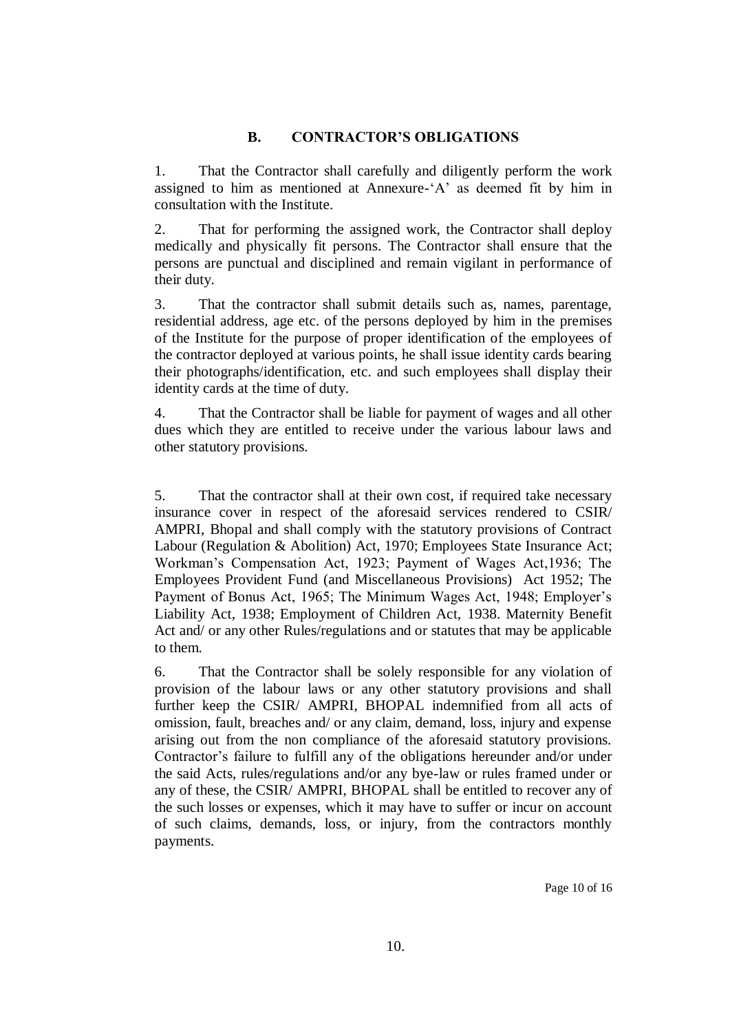#### **B. CONTRACTOR'S OBLIGATIONS**

1. That the Contractor shall carefully and diligently perform the work assigned to him as mentioned at Annexure-'A' as deemed fit by him in consultation with the Institute.

2. That for performing the assigned work, the Contractor shall deploy medically and physically fit persons. The Contractor shall ensure that the persons are punctual and disciplined and remain vigilant in performance of their duty.

3. That the contractor shall submit details such as, names, parentage, residential address, age etc. of the persons deployed by him in the premises of the Institute for the purpose of proper identification of the employees of the contractor deployed at various points, he shall issue identity cards bearing their photographs/identification, etc. and such employees shall display their identity cards at the time of duty.

4. That the Contractor shall be liable for payment of wages and all other dues which they are entitled to receive under the various labour laws and other statutory provisions.

5. That the contractor shall at their own cost, if required take necessary insurance cover in respect of the aforesaid services rendered to CSIR/ AMPRI, Bhopal and shall comply with the statutory provisions of Contract Labour (Regulation & Abolition) Act, 1970; Employees State Insurance Act; Workman's Compensation Act, 1923; Payment of Wages Act,1936; The Employees Provident Fund (and Miscellaneous Provisions) Act 1952; The Payment of Bonus Act, 1965; The Minimum Wages Act, 1948; Employer's Liability Act, 1938; Employment of Children Act, 1938. Maternity Benefit Act and/ or any other Rules/regulations and or statutes that may be applicable to them.

6. That the Contractor shall be solely responsible for any violation of provision of the labour laws or any other statutory provisions and shall further keep the CSIR/ AMPRI, BHOPAL indemnified from all acts of omission, fault, breaches and/ or any claim, demand, loss, injury and expense arising out from the non compliance of the aforesaid statutory provisions. Contractor's failure to fulfill any of the obligations hereunder and/or under the said Acts, rules/regulations and/or any bye-law or rules framed under or any of these, the CSIR/ AMPRI, BHOPAL shall be entitled to recover any of the such losses or expenses, which it may have to suffer or incur on account of such claims, demands, loss, or injury, from the contractors monthly payments.

Page 10 of 16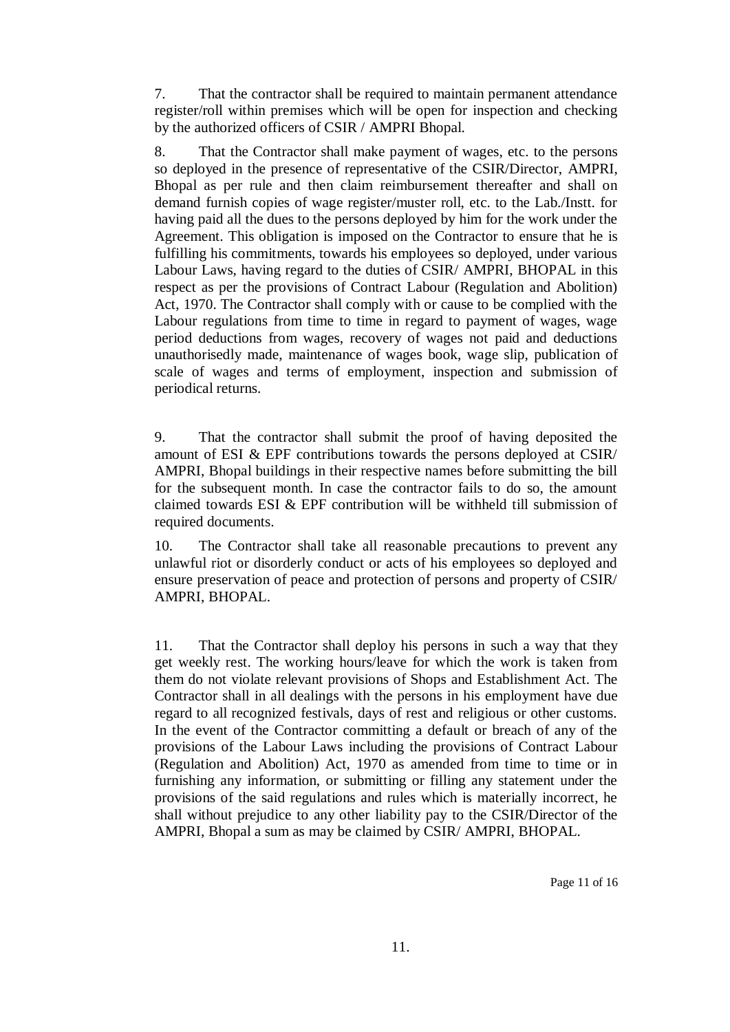7. That the contractor shall be required to maintain permanent attendance register/roll within premises which will be open for inspection and checking by the authorized officers of CSIR / AMPRI Bhopal.

8. That the Contractor shall make payment of wages, etc. to the persons so deployed in the presence of representative of the CSIR/Director, AMPRI, Bhopal as per rule and then claim reimbursement thereafter and shall on demand furnish copies of wage register/muster roll, etc. to the Lab./Instt. for having paid all the dues to the persons deployed by him for the work under the Agreement. This obligation is imposed on the Contractor to ensure that he is fulfilling his commitments, towards his employees so deployed, under various Labour Laws, having regard to the duties of CSIR/ AMPRI, BHOPAL in this respect as per the provisions of Contract Labour (Regulation and Abolition) Act, 1970. The Contractor shall comply with or cause to be complied with the Labour regulations from time to time in regard to payment of wages, wage period deductions from wages, recovery of wages not paid and deductions unauthorisedly made, maintenance of wages book, wage slip, publication of scale of wages and terms of employment, inspection and submission of periodical returns.

9. That the contractor shall submit the proof of having deposited the amount of ESI & EPF contributions towards the persons deployed at CSIR/ AMPRI, Bhopal buildings in their respective names before submitting the bill for the subsequent month. In case the contractor fails to do so, the amount claimed towards ESI & EPF contribution will be withheld till submission of required documents.

10. The Contractor shall take all reasonable precautions to prevent any unlawful riot or disorderly conduct or acts of his employees so deployed and ensure preservation of peace and protection of persons and property of CSIR/ AMPRI, BHOPAL.

11. That the Contractor shall deploy his persons in such a way that they get weekly rest. The working hours/leave for which the work is taken from them do not violate relevant provisions of Shops and Establishment Act. The Contractor shall in all dealings with the persons in his employment have due regard to all recognized festivals, days of rest and religious or other customs. In the event of the Contractor committing a default or breach of any of the provisions of the Labour Laws including the provisions of Contract Labour (Regulation and Abolition) Act, 1970 as amended from time to time or in furnishing any information, or submitting or filling any statement under the provisions of the said regulations and rules which is materially incorrect, he shall without prejudice to any other liability pay to the CSIR/Director of the AMPRI, Bhopal a sum as may be claimed by CSIR/ AMPRI, BHOPAL.

Page 11 of 16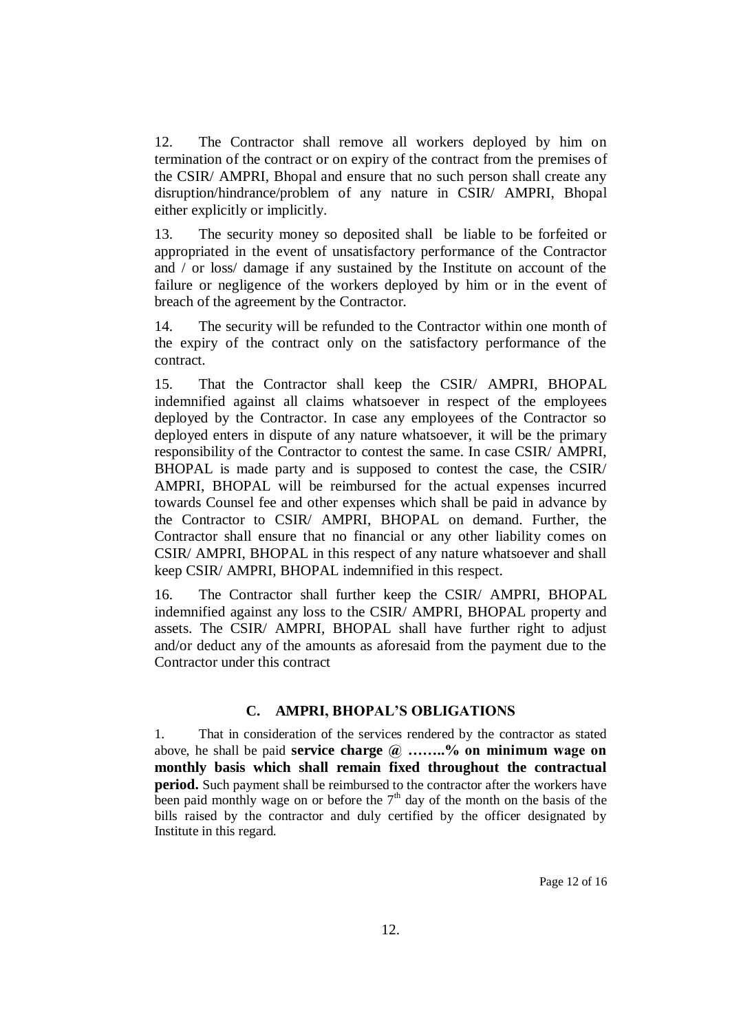12. The Contractor shall remove all workers deployed by him on termination of the contract or on expiry of the contract from the premises of the CSIR/ AMPRI, Bhopal and ensure that no such person shall create any disruption/hindrance/problem of any nature in CSIR/ AMPRI, Bhopal either explicitly or implicitly.

13. The security money so deposited shall be liable to be forfeited or appropriated in the event of unsatisfactory performance of the Contractor and / or loss/ damage if any sustained by the Institute on account of the failure or negligence of the workers deployed by him or in the event of breach of the agreement by the Contractor.

14. The security will be refunded to the Contractor within one month of the expiry of the contract only on the satisfactory performance of the contract.

15. That the Contractor shall keep the CSIR/ AMPRI, BHOPAL indemnified against all claims whatsoever in respect of the employees deployed by the Contractor. In case any employees of the Contractor so deployed enters in dispute of any nature whatsoever, it will be the primary responsibility of the Contractor to contest the same. In case CSIR/ AMPRI, BHOPAL is made party and is supposed to contest the case, the CSIR/ AMPRI, BHOPAL will be reimbursed for the actual expenses incurred towards Counsel fee and other expenses which shall be paid in advance by the Contractor to CSIR/ AMPRI, BHOPAL on demand. Further, the Contractor shall ensure that no financial or any other liability comes on CSIR/ AMPRI, BHOPAL in this respect of any nature whatsoever and shall keep CSIR/ AMPRI, BHOPAL indemnified in this respect.

16. The Contractor shall further keep the CSIR/ AMPRI, BHOPAL indemnified against any loss to the CSIR/ AMPRI, BHOPAL property and assets. The CSIR/ AMPRI, BHOPAL shall have further right to adjust and/or deduct any of the amounts as aforesaid from the payment due to the Contractor under this contract

#### **C. AMPRI, BHOPAL'S OBLIGATIONS**

1. That in consideration of the services rendered by the contractor as stated above, he shall be paid **service charge @ ……..% on minimum wage on monthly basis which shall remain fixed throughout the contractual period.** Such payment shall be reimbursed to the contractor after the workers have been paid monthly wage on or before the  $7<sup>th</sup>$  day of the month on the basis of the bills raised by the contractor and duly certified by the officer designated by Institute in this regard.

Page 12 of 16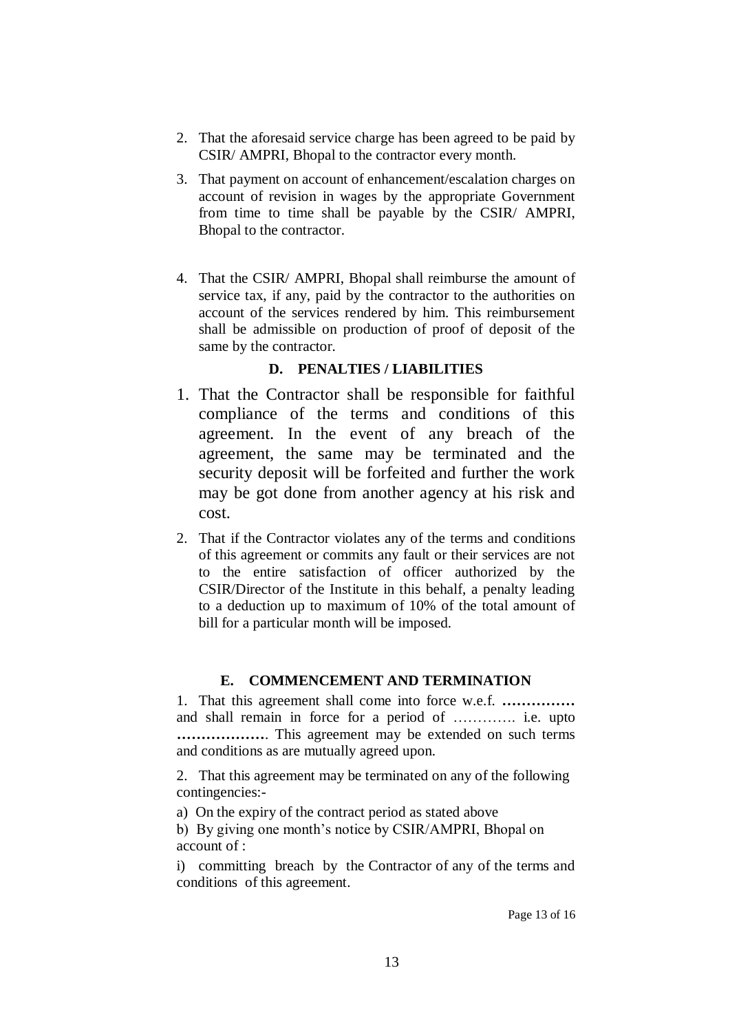- 2. That the aforesaid service charge has been agreed to be paid by CSIR/ AMPRI, Bhopal to the contractor every month.
- 3. That payment on account of enhancement/escalation charges on account of revision in wages by the appropriate Government from time to time shall be payable by the CSIR/ AMPRI, Bhopal to the contractor.
- 4. That the CSIR/ AMPRI, Bhopal shall reimburse the amount of service tax, if any, paid by the contractor to the authorities on account of the services rendered by him. This reimbursement shall be admissible on production of proof of deposit of the same by the contractor.

#### **D. PENALTIES / LIABILITIES**

- 1. That the Contractor shall be responsible for faithful compliance of the terms and conditions of this agreement. In the event of any breach of the agreement, the same may be terminated and the security deposit will be forfeited and further the work may be got done from another agency at his risk and cost.
- 2. That if the Contractor violates any of the terms and conditions of this agreement or commits any fault or their services are not to the entire satisfaction of officer authorized by the CSIR/Director of the Institute in this behalf, a penalty leading to a deduction up to maximum of 10% of the total amount of bill for a particular month will be imposed.

#### **E. COMMENCEMENT AND TERMINATION**

1. That this agreement shall come into force w.e.f. **……………** and shall remain in force for a period of …………. i.e. upto **………………**. This agreement may be extended on such terms and conditions as are mutually agreed upon.

2. That this agreement may be terminated on any of the following contingencies:-

a) On the expiry of the contract period as stated above

b) By giving one month's notice by CSIR/AMPRI, Bhopal on account of :

i) committing breach by the Contractor of any of the terms and conditions of this agreement.

Page 13 of 16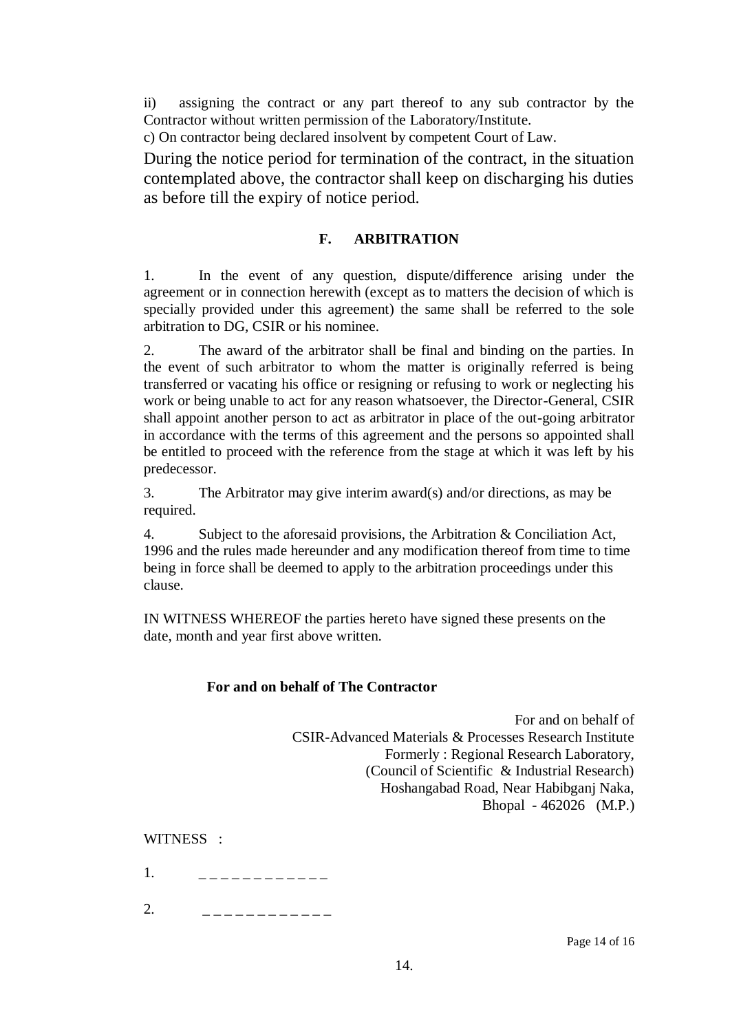ii) assigning the contract or any part thereof to any sub contractor by the Contractor without written permission of the Laboratory/Institute.

c) On contractor being declared insolvent by competent Court of Law.

During the notice period for termination of the contract, in the situation contemplated above, the contractor shall keep on discharging his duties as before till the expiry of notice period.

#### **F. ARBITRATION**

1. In the event of any question, dispute/difference arising under the agreement or in connection herewith (except as to matters the decision of which is specially provided under this agreement) the same shall be referred to the sole arbitration to DG, CSIR or his nominee.

2. The award of the arbitrator shall be final and binding on the parties. In the event of such arbitrator to whom the matter is originally referred is being transferred or vacating his office or resigning or refusing to work or neglecting his work or being unable to act for any reason whatsoever, the Director-General, CSIR shall appoint another person to act as arbitrator in place of the out-going arbitrator in accordance with the terms of this agreement and the persons so appointed shall be entitled to proceed with the reference from the stage at which it was left by his predecessor.

3. The Arbitrator may give interim award(s) and/or directions, as may be required.

4. Subject to the aforesaid provisions, the Arbitration & Conciliation Act, 1996 and the rules made hereunder and any modification thereof from time to time being in force shall be deemed to apply to the arbitration proceedings under this clause.

IN WITNESS WHEREOF the parties hereto have signed these presents on the date, month and year first above written.

#### **For and on behalf of The Contractor**

 For and on behalf of CSIR-Advanced Materials & Processes Research Institute Formerly : Regional Research Laboratory, (Council of Scientific & Industrial Research) Hoshangabad Road, Near Habibganj Naka, Bhopal - 462026 (M.P.)

WITNESS :

- 1. \_ \_ \_ \_ \_ \_ \_ \_ \_ \_ \_ \_ \_
- 2. \_ \_ \_ \_ \_ \_ \_ \_ \_ \_ \_ \_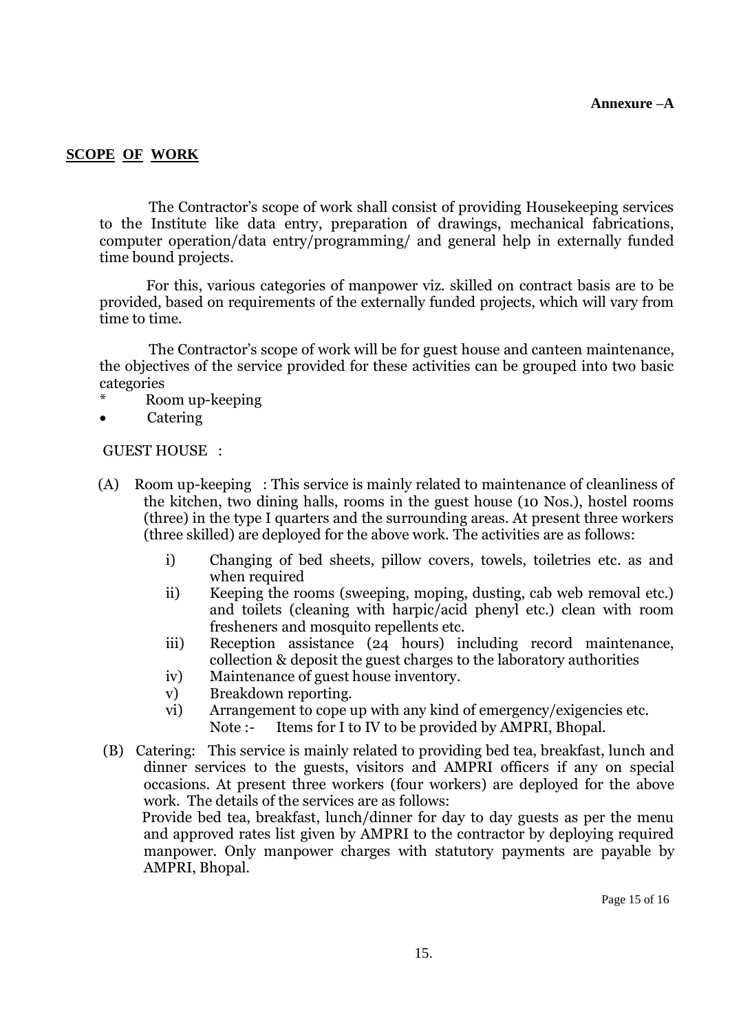#### **SCOPE OF WORK**

The Contractor's scope of work shall consist of providing Housekeeping services to the Institute like data entry, preparation of drawings, mechanical fabrications, computer operation/data entry/programming/ and general help in externally funded time bound projects.

 For this, various categories of manpower viz. skilled on contract basis are to be provided, based on requirements of the externally funded projects, which will vary from time to time.

The Contractor's scope of work will be for guest house and canteen maintenance, the objectives of the service provided for these activities can be grouped into two basic categories

- Room up-keeping
- Catering

GUEST HOUSE :

- (A) Room up-keeping : This service is mainly related to maintenance of cleanliness of the kitchen, two dining halls, rooms in the guest house (10 Nos.), hostel rooms (three) in the type I quarters and the surrounding areas. At present three workers (three skilled) are deployed for the above work. The activities are as follows:
	- i) Changing of bed sheets, pillow covers, towels, toiletries etc. as and when required
	- ii) Keeping the rooms (sweeping, moping, dusting, cab web removal etc.) and toilets (cleaning with harpic/acid phenyl etc.) clean with room fresheners and mosquito repellents etc.
	- iii) Reception assistance (24 hours) including record maintenance, collection & deposit the guest charges to the laboratory authorities
	- iv) Maintenance of guest house inventory.
	- v) Breakdown reporting.
	- vi) Arrangement to cope up with any kind of emergency/exigencies etc. Note :- Items for I to IV to be provided by AMPRI, Bhopal.
- (B) Catering: This service is mainly related to providing bed tea, breakfast, lunch and dinner services to the guests, visitors and AMPRI officers if any on special occasions. At present three workers (four workers) are deployed for the above work. The details of the services are as follows:

 Provide bed tea, breakfast, lunch/dinner for day to day guests as per the menu and approved rates list given by AMPRI to the contractor by deploying required manpower. Only manpower charges with statutory payments are payable by AMPRI, Bhopal.

Page 15 of 16